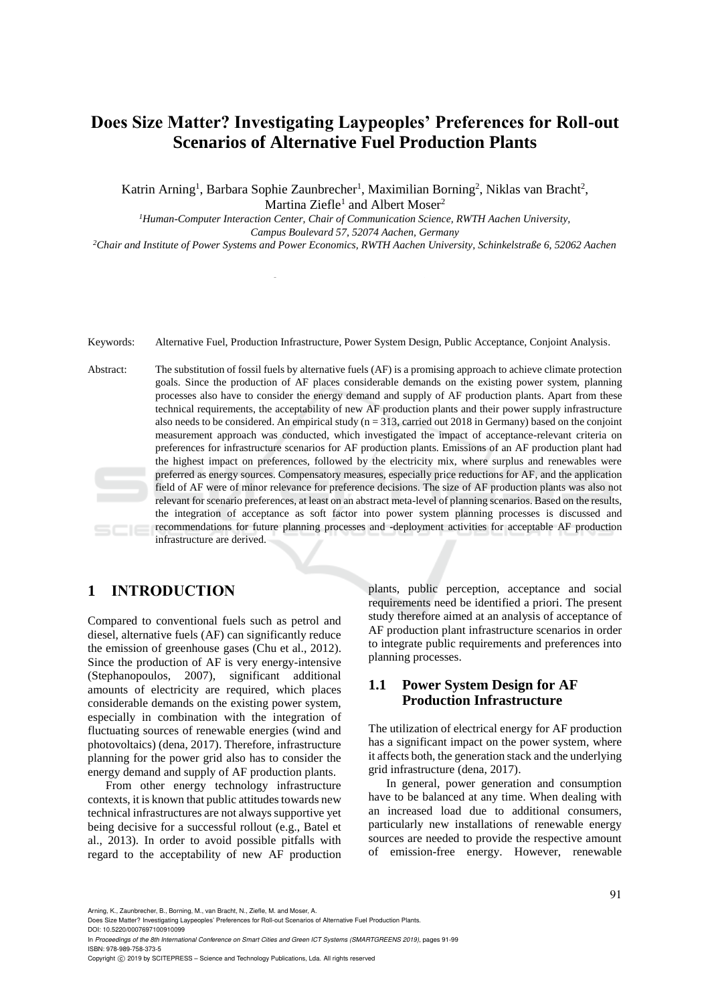# **Does Size Matter? Investigating Laypeoples' Preferences for Roll-out Scenarios of Alternative Fuel Production Plants**

Katrin Arning<sup>1</sup>, Barbara Sophie Zaunbrecher<sup>1</sup>, Maximilian Borning<sup>2</sup>, Niklas van Bracht<sup>2</sup>, Martina Ziefle<sup>1</sup> and Albert Moser<sup>2</sup>

*<sup>1</sup>Human-Computer Interaction Center, Chair of Communication Science, RWTH Aachen University,* 

*Campus Boulevard 57, 52074 Aachen, Germany*

*<sup>2</sup>Chair and Institute of Power Systems and Power Economics, RWTH Aachen University, Schinkelstraße 6, 52062 Aachen*

Keywords: Alternative Fuel, Production Infrastructure, Power System Design, Public Acceptance, Conjoint Analysis.

Abstract: The substitution of fossil fuels by alternative fuels (AF) is a promising approach to achieve climate protection goals. Since the production of AF places considerable demands on the existing power system, planning processes also have to consider the energy demand and supply of AF production plants. Apart from these technical requirements, the acceptability of new AF production plants and their power supply infrastructure also needs to be considered. An empirical study ( $n = 313$ , carried out 2018 in Germany) based on the conjoint measurement approach was conducted, which investigated the impact of acceptance-relevant criteria on preferences for infrastructure scenarios for AF production plants. Emissions of an AF production plant had the highest impact on preferences, followed by the electricity mix, where surplus and renewables were preferred as energy sources. Compensatory measures, especially price reductions for AF, and the application field of AF were of minor relevance for preference decisions. The size of AF production plants was also not relevant for scenario preferences, at least on an abstract meta-level of planning scenarios. Based on the results, the integration of acceptance as soft factor into power system planning processes is discussed and recommendations for future planning processes and -deployment activities for acceptable AF production SCIE infrastructure are derived.

## **1 INTRODUCTION**

Compared to conventional fuels such as petrol and diesel, alternative fuels (AF) can significantly reduce the emission of greenhouse gases (Chu et al., 2012). Since the production of AF is very energy-intensive (Stephanopoulos, 2007), significant additional amounts of electricity are required, which places considerable demands on the existing power system, especially in combination with the integration of fluctuating sources of renewable energies (wind and photovoltaics) (dena, 2017). Therefore, infrastructure planning for the power grid also has to consider the energy demand and supply of AF production plants.

From other energy technology infrastructure contexts, it is known that public attitudes towards new technical infrastructures are not always supportive yet being decisive for a successful rollout (e.g., Batel et al., 2013). In order to avoid possible pitfalls with regard to the acceptability of new AF production

plants, public perception, acceptance and social requirements need be identified a priori. The present study therefore aimed at an analysis of acceptance of AF production plant infrastructure scenarios in order to integrate public requirements and preferences into planning processes.

### **1.1 Power System Design for AF Production Infrastructure**

The utilization of electrical energy for AF production has a significant impact on the power system, where it affects both, the generation stack and the underlying grid infrastructure (dena, 2017).

In general, power generation and consumption have to be balanced at any time. When dealing with an increased load due to additional consumers, particularly new installations of renewable energy sources are needed to provide the respective amount of emission-free energy. However, renewable

Arning, K., Zaunbrecher, B., Borning, M., van Bracht, N., Ziefle, M. and Moser, A.

Does Size Matter? Investigating Laypeoples' Preferences for Roll-out Scenarios of Alternative Fuel Production Plants. DOI: 10.5220/0007697100910099

In *Proceedings of the 8th International Conference on Smart Cities and Green ICT Systems (SMARTGREENS 2019)*, pages 91-99 ISBN: 978-989-758-373-5

Copyright © 2019 by SCITEPRESS - Science and Technology Publications, Lda. All rights reserved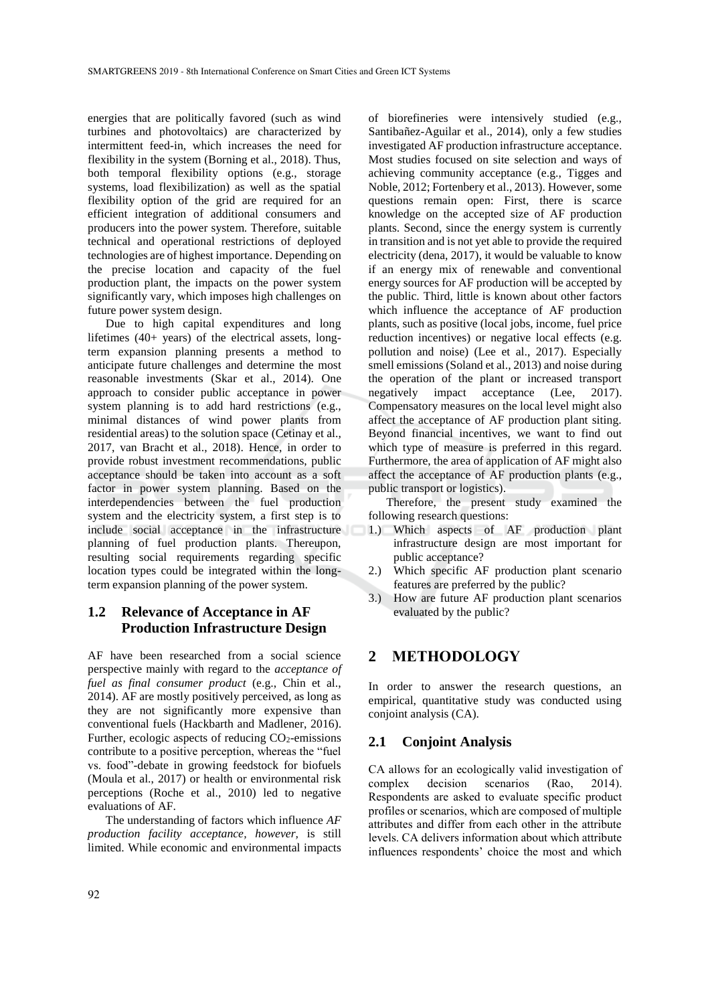energies that are politically favored (such as wind turbines and photovoltaics) are characterized by intermittent feed-in, which increases the need for flexibility in the system (Borning et al., 2018). Thus, both temporal flexibility options (e.g., storage systems, load flexibilization) as well as the spatial flexibility option of the grid are required for an efficient integration of additional consumers and producers into the power system. Therefore, suitable technical and operational restrictions of deployed technologies are of highest importance. Depending on the precise location and capacity of the fuel production plant, the impacts on the power system significantly vary, which imposes high challenges on future power system design.

Due to high capital expenditures and long lifetimes (40+ years) of the electrical assets, longterm expansion planning presents a method to anticipate future challenges and determine the most reasonable investments (Skar et al., 2014). One approach to consider public acceptance in power system planning is to add hard restrictions (e.g., minimal distances of wind power plants from residential areas) to the solution space (Cetinay et al., 2017, van Bracht et al., 2018). Hence, in order to provide robust investment recommendations, public acceptance should be taken into account as a soft factor in power system planning. Based on the interdependencies between the fuel production system and the electricity system, a first step is to include social acceptance in the infrastructure planning of fuel production plants. Thereupon, resulting social requirements regarding specific location types could be integrated within the longterm expansion planning of the power system.

## **1.2 Relevance of Acceptance in AF Production Infrastructure Design**

AF have been researched from a social science perspective mainly with regard to the *acceptance of fuel as final consumer product* (e.g., Chin et al., 2014). AF are mostly positively perceived, as long as they are not significantly more expensive than conventional fuels (Hackbarth and Madlener, 2016). Further, ecologic aspects of reducing  $CO<sub>2</sub>$ -emissions contribute to a positive perception, whereas the "fuel vs. food"-debate in growing feedstock for biofuels (Moula et al., 2017) or health or environmental risk perceptions (Roche et al., 2010) led to negative evaluations of AF.

The understanding of factors which influence *AF production facility acceptance, however,* is still limited. While economic and environmental impacts of biorefineries were intensively studied (e.g., Santibañez-Aguilar et al., 2014), only a few studies investigated AF production infrastructure acceptance. Most studies focused on site selection and ways of achieving community acceptance (e.g., Tigges and Noble, 2012; Fortenbery et al., 2013). However, some questions remain open: First, there is scarce knowledge on the accepted size of AF production plants. Second, since the energy system is currently in transition and is not yet able to provide the required electricity (dena, 2017), it would be valuable to know if an energy mix of renewable and conventional energy sources for AF production will be accepted by the public. Third, little is known about other factors which influence the acceptance of AF production plants, such as positive (local jobs, income, fuel price reduction incentives) or negative local effects (e.g. pollution and noise) (Lee et al., 2017). Especially smell emissions (Soland et al., 2013) and noise during the operation of the plant or increased transport negatively impact acceptance (Lee, 2017). Compensatory measures on the local level might also affect the acceptance of AF production plant siting. Beyond financial incentives, we want to find out which type of measure is preferred in this regard. Furthermore, the area of application of AF might also affect the acceptance of AF production plants (e.g., public transport or logistics).

Therefore, the present study examined the following research questions:

- 1.) Which aspects of AF production plant infrastructure design are most important for public acceptance?
- 2.) Which specific AF production plant scenario features are preferred by the public?
- 3.) How are future AF production plant scenarios evaluated by the public?

## **2 METHODOLOGY**

In order to answer the research questions, an empirical, quantitative study was conducted using conjoint analysis (CA).

#### **2.1 Conjoint Analysis**

CA allows for an ecologically valid investigation of complex decision scenarios (Rao, 2014). Respondents are asked to evaluate specific product profiles or scenarios, which are composed of multiple attributes and differ from each other in the attribute levels. CA delivers information about which attribute influences respondents' choice the most and which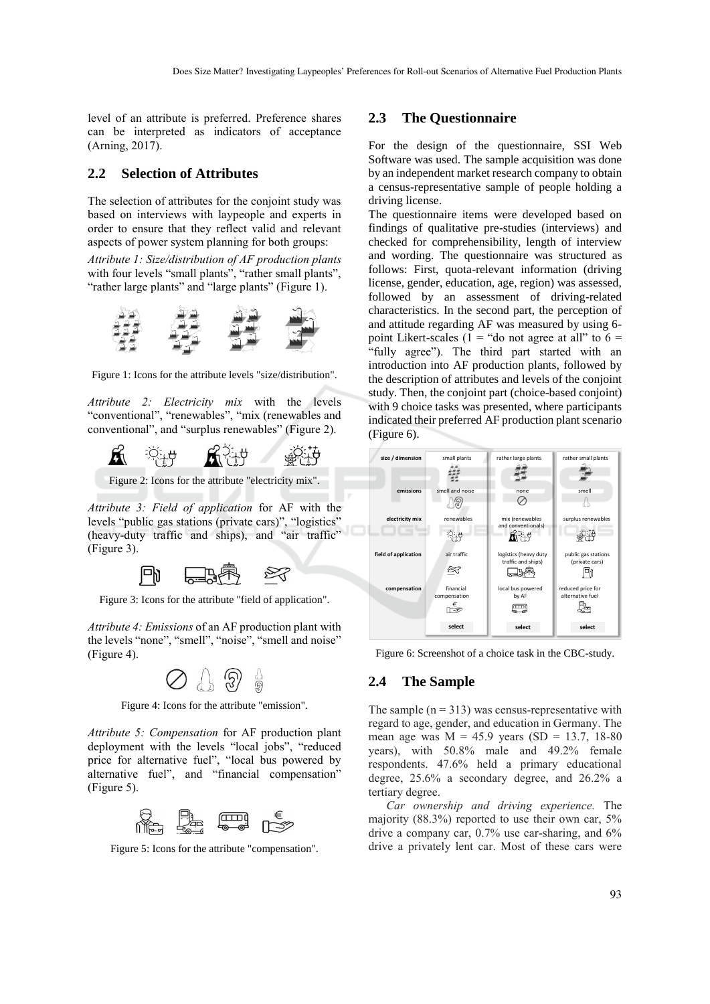level of an attribute is preferred. Preference shares can be interpreted as indicators of acceptance (Arning, 2017).

#### **2.2 Selection of Attributes**

The selection of attributes for the conjoint study was based on interviews with laypeople and experts in order to ensure that they reflect valid and relevant aspects of power system planning for both groups:

*Attribute 1: Size/distribution of AF production plants* with four levels "small plants", "rather small plants", "rather large plants" and "large plants" (Figure 1).



Figure 1: Icons for the attribute levels "size/distribution".

*Attribute 2: Electricity mix* with the levels "conventional", "renewables", "mix (renewables and conventional", and "surplus renewables" (Figure 2).



Figure 2: Icons for the attribute "electricity mix".

*Attribute 3: Field of application* for AF with the levels "public gas stations (private cars)", "logistics" (heavy-duty traffic and ships), and "air traffic" (Figure 3).



Figure 3: Icons for the attribute "field of application".

*Attribute 4: Emissions* of an AF production plant with the levels "none", "smell", "noise", "smell and noise" (Figure 4).



Figure 4: Icons for the attribute "emission".

*Attribute 5: Compensation* for AF production plant deployment with the levels "local jobs", "reduced price for alternative fuel", "local bus powered by alternative fuel", and "financial compensation" (Figure 5).



Figure 5: Icons for the attribute "compensation".

#### **2.3 The Questionnaire**

For the design of the questionnaire, SSI Web Software was used. The sample acquisition was done by an independent market research company to obtain a census-representative sample of people holding a driving license.

The questionnaire items were developed based on findings of qualitative pre-studies (interviews) and checked for comprehensibility, length of interview and wording. The questionnaire was structured as follows: First, quota-relevant information (driving license, gender, education, age, region) was assessed, followed by an assessment of driving-related characteristics. In the second part, the perception of and attitude regarding AF was measured by using 6 point Likert-scales  $(1 - \text{``do not agree at all'' to } 6 =$ "fully agree"). The third part started with an introduction into AF production plants, followed by the description of attributes and levels of the conjoint study. Then, the conjoint part (choice-based conjoint) with 9 choice tasks was presented, where participants indicated their preferred AF production plant scenario (Figure 6).



Figure 6: Screenshot of a choice task in the CBC-study.

#### **2.4 The Sample**

The sample  $(n = 313)$  was census-representative with regard to age, gender, and education in Germany. The mean age was  $M = 45.9$  years (SD = 13.7, 18-80) years), with 50.8% male and 49.2% female respondents. 47.6% held a primary educational degree, 25.6% a secondary degree, and 26.2% a tertiary degree.

*Car ownership and driving experience.* The majority (88.3%) reported to use their own car, 5% drive a company car, 0.7% use car-sharing, and 6% drive a privately lent car. Most of these cars were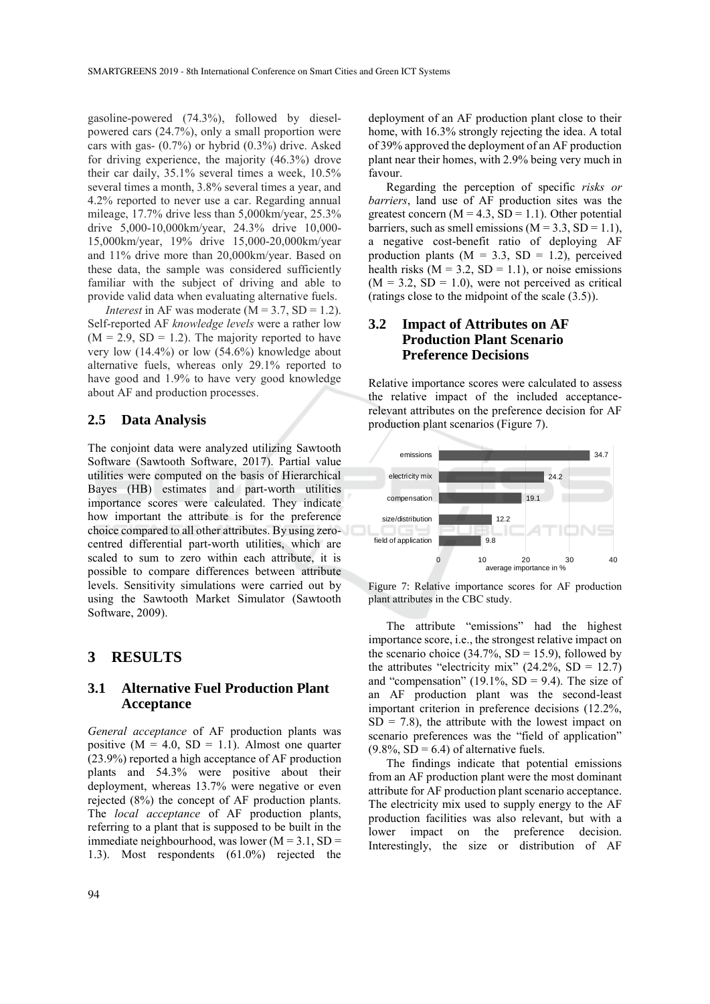gasoline-powered (74.3%), followed by dieselpowered cars (24.7%), only a small proportion were cars with gas- (0.7%) or hybrid (0.3%) drive. Asked for driving experience, the majority (46.3%) drove their car daily, 35.1% several times a week, 10.5% several times a month, 3.8% several times a year, and 4.2% reported to never use a car. Regarding annual mileage, 17.7% drive less than 5,000km/year, 25.3% drive 5,000-10,000km/year, 24.3% drive 10,000- 15,000km/year, 19% drive 15,000-20,000km/year and 11% drive more than 20,000km/year. Based on these data, the sample was considered sufficiently familiar with the subject of driving and able to provide valid data when evaluating alternative fuels.

*Interest* in AF was moderate  $(M = 3.7, SD = 1.2)$ . Self-reported AF *knowledge levels* were a rather low  $(M = 2.9, SD = 1.2)$ . The majority reported to have very low  $(14.4\%)$  or low  $(54.6\%)$  knowledge about alternative fuels, whereas only 29.1% reported to have good and 1.9% to have very good knowledge about AF and production processes.

#### **2.5 Data Analysis**

The conjoint data were analyzed utilizing Sawtooth Software (Sawtooth Software, 2017). Partial value utilities were computed on the basis of Hierarchical Bayes (HB) estimates and part-worth utilities importance scores were calculated. They indicate how important the attribute is for the preference choice compared to all other attributes. By using zerocentred differential part-worth utilities, which are scaled to sum to zero within each attribute, it is possible to compare differences between attribute levels. Sensitivity simulations were carried out by using the Sawtooth Market Simulator (Sawtooth Software, 2009).

#### **3 RESULTS**

#### **3.1 Alternative Fuel Production Plant Acceptance**

*General acceptance* of AF production plants was positive  $(M = 4.0, SD = 1.1)$ . Almost one quarter (23.9%) reported a high acceptance of AF production plants and 54.3% were positive about their deployment, whereas 13.7% were negative or even rejected (8%) the concept of AF production plants. The *local acceptance* of AF production plants, referring to a plant that is supposed to be built in the immediate neighbourhood, was lower  $(M = 3.1, SD =$ 1.3). Most respondents (61.0%) rejected the

deployment of an AF production plant close to their home, with 16.3% strongly rejecting the idea. A total of 39% approved the deployment of an AF production plant near their homes, with 2.9% being very much in favour.

Regarding the perception of specific *risks or barriers*, land use of AF production sites was the greatest concern ( $M = 4.3$ ,  $SD = 1.1$ ). Other potential barriers, such as smell emissions ( $M = 3.3$ ,  $SD = 1.1$ ), a negative cost-benefit ratio of deploying AF production plants ( $M = 3.3$ , SD = 1.2), perceived health risks  $(M = 3.2, SD = 1.1)$ , or noise emissions  $(M = 3.2, SD = 1.0)$ , were not perceived as critical (ratings close to the midpoint of the scale (3.5)).

### **3.2 Impact of Attributes on AF Production Plant Scenario Preference Decisions**

Relative importance scores were calculated to assess the relative impact of the included acceptancerelevant attributes on the preference decision for AF production plant scenarios (Figure 7).



Figure 7: Relative importance scores for AF production plant attributes in the CBC study.

The attribute "emissions" had the highest importance score, i.e., the strongest relative impact on the scenario choice  $(34.7\%, SD = 15.9)$ , followed by the attributes "electricity mix"  $(24.2\%, SD = 12.7)$ and "compensation" (19.1%,  $SD = 9.4$ ). The size of an AF production plant was the second-least important criterion in preference decisions (12.2%,  $SD = 7.8$ , the attribute with the lowest impact on scenario preferences was the "field of application"  $(9.8\%$ , SD = 6.4) of alternative fuels.

The findings indicate that potential emissions from an AF production plant were the most dominant attribute for AF production plant scenario acceptance. The electricity mix used to supply energy to the AF production facilities was also relevant, but with a lower impact on the preference decision. Interestingly, the size or distribution of AF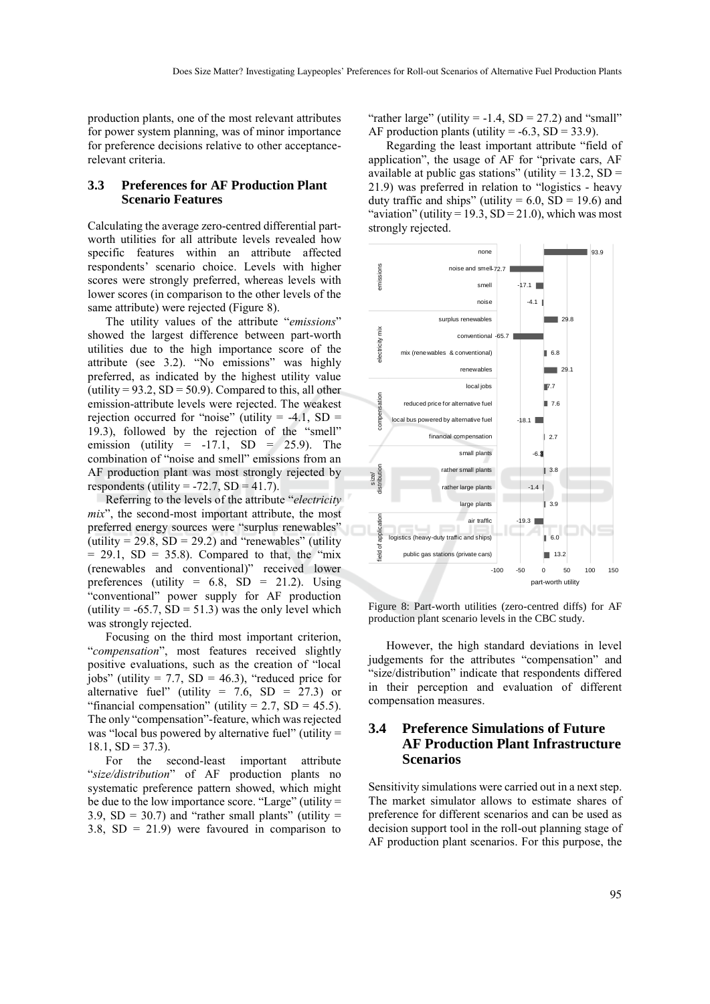production plants, one of the most relevant attributes for power system planning, was of minor importance for preference decisions relative to other acceptancerelevant criteria.

#### **3.3 Preferences for AF Production Plant Scenario Features**

Calculating the average zero-centred differential partworth utilities for all attribute levels revealed how specific features within an attribute affected respondents' scenario choice. Levels with higher scores were strongly preferred, whereas levels with lower scores (in comparison to the other levels of the same attribute) were rejected (Figure 8).

The utility values of the attribute "*emissions*" showed the largest difference between part-worth utilities due to the high importance score of the attribute (see 3.2). "No emissions" was highly preferred, as indicated by the highest utility value (utility =  $93.2$ , SD =  $50.9$ ). Compared to this, all other emission-attribute levels were rejected. The weakest rejection occurred for "noise" (utility  $= -4.1$ , SD  $=$ 19.3), followed by the rejection of the "smell" emission (utility  $= -17.1$ , SD  $= 25.9$ ). The combination of "noise and smell" emissions from an AF production plant was most strongly rejected by respondents (utility =  $-72.7$ , SD = 41.7).

Referring to the levels of the attribute "*electricity mix*", the second-most important attribute, the most preferred energy sources were "surplus renewables" (utility =  $29.8$ , SD =  $29.2$ ) and "renewables" (utility  $= 29.1$ , SD = 35.8). Compared to that, the "mix" (renewables and conventional)" received lower preferences (utility =  $6.8$ , SD =  $21.2$ ). Using "conventional" power supply for AF production (utility =  $-65.7$ , SD = 51.3) was the only level which was strongly rejected.

Focusing on the third most important criterion, "*compensation*", most features received slightly positive evaluations, such as the creation of "local jobs" (utility =  $7.7$ , SD =  $46.3$ ), "reduced price for alternative fuel" (utility = 7.6,  $SD = 27.3$ ) or "financial compensation" (utility  $= 2.7$ , SD  $= 45.5$ ). The only "compensation"-feature, which was rejected was "local bus powered by alternative fuel" (utility =  $18.1, SD = 37.3$ ).

For the second-least important attribute "*size/distribution*" of AF production plants no systematic preference pattern showed, which might be due to the low importance score. "Large" (utility = 3.9,  $SD = 30.7$ ) and "rather small plants" (utility = 3.8,  $SD = 21.9$ ) were favoured in comparison to

"rather large" (utility  $= -1.4$ , SD  $= 27.2$ ) and "small" AF production plants (utility =  $-6.3$ , SD = 33.9).

Regarding the least important attribute "field of application", the usage of AF for "private cars, AF available at public gas stations" (utility =  $13.2$ , SD = 21.9) was preferred in relation to "logistics - heavy duty traffic and ships" (utility =  $6.0$ , SD = 19.6) and "aviation" (utility =  $19.3$ , SD =  $21.0$ ), which was most strongly rejected.



Figure 8: Part-worth utilities (zero-centred diffs) for AF production plant scenario levels in the CBC study.

However, the high standard deviations in level judgements for the attributes "compensation" and "size/distribution" indicate that respondents differed in their perception and evaluation of different compensation measures.

## **3.4 Preference Simulations of Future AF Production Plant Infrastructure Scenarios**

Sensitivity simulations were carried out in a next step. The market simulator allows to estimate shares of preference for different scenarios and can be used as decision support tool in the roll-out planning stage of AF production plant scenarios. For this purpose, the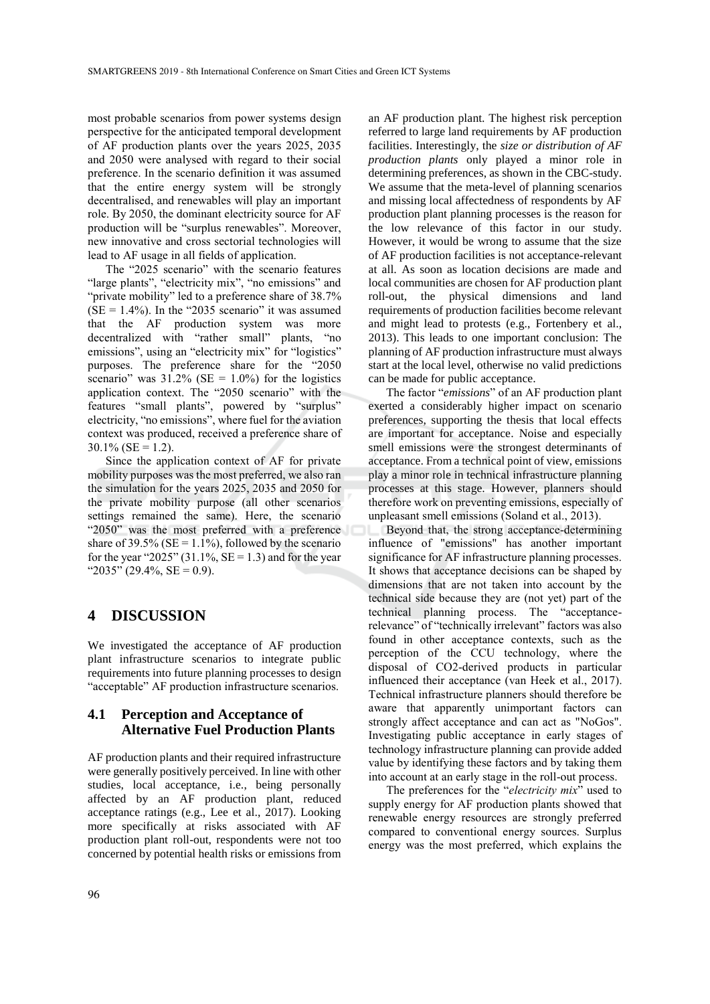most probable scenarios from power systems design perspective for the anticipated temporal development of AF production plants over the years 2025, 2035 and 2050 were analysed with regard to their social preference. In the scenario definition it was assumed that the entire energy system will be strongly decentralised, and renewables will play an important role. By 2050, the dominant electricity source for AF production will be "surplus renewables". Moreover, new innovative and cross sectorial technologies will lead to AF usage in all fields of application.

The "2025 scenario" with the scenario features "large plants", "electricity mix", "no emissions" and "private mobility" led to a preference share of 38.7%  $(SE = 1.4\%)$ . In the "2035 scenario" it was assumed that the AF production system was more decentralized with "rather small" plants, "no emissions", using an "electricity mix" for "logistics" purposes. The preference share for the "2050 scenario" was  $31.2\%$  (SE = 1.0%) for the logistics application context. The "2050 scenario" with the features "small plants", powered by "surplus" electricity, "no emissions", where fuel for the aviation context was produced, received a preference share of  $30.1\%$  (SE = 1.2).

Since the application context of AF for private mobility purposes was the most preferred, we also ran the simulation for the years 2025, 2035 and 2050 for the private mobility purpose (all other scenarios settings remained the same). Here, the scenario "2050" was the most preferred with a preference share of 39.5% ( $SE = 1.1\%$ ), followed by the scenario for the year "2025" (31.1%,  $SE = 1.3$ ) and for the year " $2035$ " (29.4%, SE = 0.9).

## **4 DISCUSSION**

We investigated the acceptance of AF production plant infrastructure scenarios to integrate public requirements into future planning processes to design "acceptable" AF production infrastructure scenarios.

## **4.1 Perception and Acceptance of Alternative Fuel Production Plants**

AF production plants and their required infrastructure were generally positively perceived. In line with other studies, local acceptance, i.e., being personally affected by an AF production plant, reduced acceptance ratings (e.g., Lee et al., 2017). Looking more specifically at risks associated with AF production plant roll-out, respondents were not too concerned by potential health risks or emissions from

an AF production plant. The highest risk perception referred to large land requirements by AF production facilities. Interestingly, the *size or distribution of AF production plants* only played a minor role in determining preferences, as shown in the CBC-study. We assume that the meta-level of planning scenarios and missing local affectedness of respondents by AF production plant planning processes is the reason for the low relevance of this factor in our study. However, it would be wrong to assume that the size of AF production facilities is not acceptance-relevant at all. As soon as location decisions are made and local communities are chosen for AF production plant roll-out, the physical dimensions and land requirements of production facilities become relevant and might lead to protests (e.g., Fortenbery et al., 2013). This leads to one important conclusion: The planning of AF production infrastructure must always start at the local level, otherwise no valid predictions can be made for public acceptance.

The factor "*emissions*" of an AF production plant exerted a considerably higher impact on scenario preferences, supporting the thesis that local effects are important for acceptance. Noise and especially smell emissions were the strongest determinants of acceptance. From a technical point of view, emissions play a minor role in technical infrastructure planning processes at this stage. However, planners should therefore work on preventing emissions, especially of unpleasant smell emissions (Soland et al., 2013).

Beyond that, the strong acceptance-determining influence of "emissions" has another important significance for AF infrastructure planning processes. It shows that acceptance decisions can be shaped by dimensions that are not taken into account by the technical side because they are (not yet) part of the technical planning process. The "acceptancerelevance" of "technically irrelevant" factors was also found in other acceptance contexts, such as the perception of the CCU technology, where the disposal of CO2-derived products in particular influenced their acceptance (van Heek et al., 2017). Technical infrastructure planners should therefore be aware that apparently unimportant factors can strongly affect acceptance and can act as "NoGos". Investigating public acceptance in early stages of technology infrastructure planning can provide added value by identifying these factors and by taking them into account at an early stage in the roll-out process.

The preferences for the "*electricity mix*" used to supply energy for AF production plants showed that renewable energy resources are strongly preferred compared to conventional energy sources. Surplus energy was the most preferred, which explains the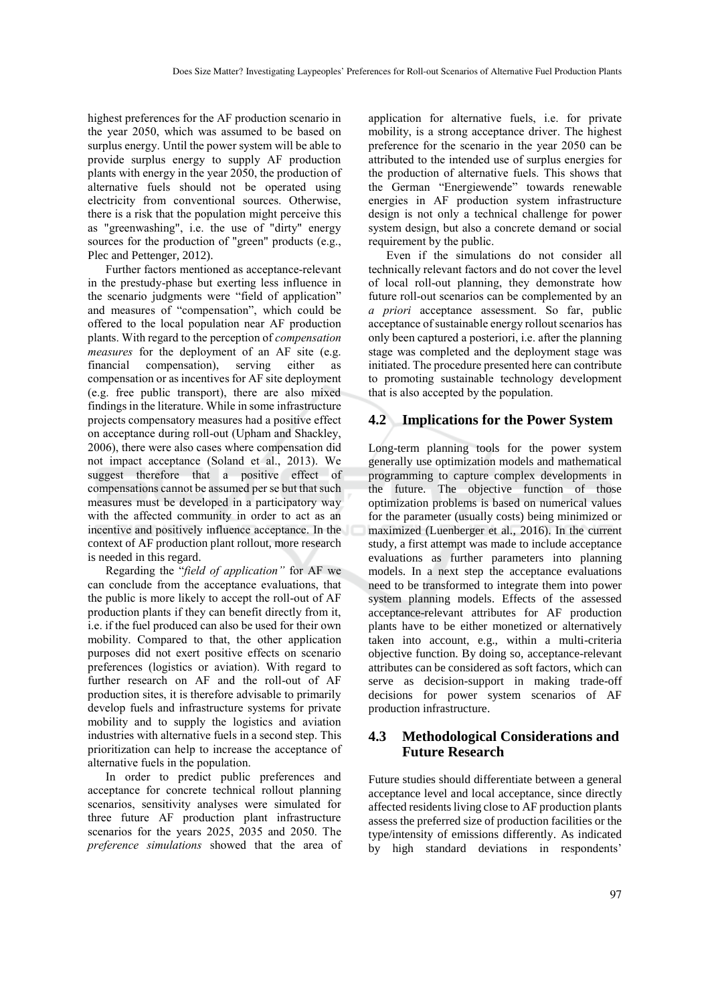highest preferences for the AF production scenario in the year 2050, which was assumed to be based on surplus energy. Until the power system will be able to provide surplus energy to supply AF production plants with energy in the year 2050, the production of alternative fuels should not be operated using electricity from conventional sources. Otherwise, there is a risk that the population might perceive this as "greenwashing", i.e. the use of "dirty" energy sources for the production of "green" products (e.g., Plec and Pettenger, 2012).

Further factors mentioned as acceptance-relevant in the prestudy-phase but exerting less influence in the scenario judgments were "field of application" and measures of "compensation", which could be offered to the local population near AF production plants. With regard to the perception of *compensation measures* for the deployment of an AF site (e.g. financial compensation), serving either as compensation or as incentives for AF site deployment (e.g. free public transport), there are also mixed findings in the literature. While in some infrastructure projects compensatory measures had a positive effect on acceptance during roll-out (Upham and Shackley, 2006), there were also cases where compensation did not impact acceptance (Soland et al., 2013). We suggest therefore that a positive effect of compensations cannot be assumed per se but that such measures must be developed in a participatory way with the affected community in order to act as an incentive and positively influence acceptance. In the context of AF production plant rollout, more research is needed in this regard.

Regarding the "*field of application"* for AF we can conclude from the acceptance evaluations, that the public is more likely to accept the roll-out of AF production plants if they can benefit directly from it, i.e. if the fuel produced can also be used for their own mobility. Compared to that, the other application purposes did not exert positive effects on scenario preferences (logistics or aviation). With regard to further research on AF and the roll-out of AF production sites, it is therefore advisable to primarily develop fuels and infrastructure systems for private mobility and to supply the logistics and aviation industries with alternative fuels in a second step. This prioritization can help to increase the acceptance of alternative fuels in the population.

In order to predict public preferences and acceptance for concrete technical rollout planning scenarios, sensitivity analyses were simulated for three future AF production plant infrastructure scenarios for the years 2025, 2035 and 2050. The *preference simulations* showed that the area of

application for alternative fuels, i.e. for private mobility, is a strong acceptance driver. The highest preference for the scenario in the year 2050 can be attributed to the intended use of surplus energies for the production of alternative fuels. This shows that the German "Energiewende" towards renewable energies in AF production system infrastructure design is not only a technical challenge for power system design, but also a concrete demand or social requirement by the public.

Even if the simulations do not consider all technically relevant factors and do not cover the level of local roll-out planning, they demonstrate how future roll-out scenarios can be complemented by an *a priori* acceptance assessment. So far, public acceptance of sustainable energy rollout scenarios has only been captured a posteriori, i.e. after the planning stage was completed and the deployment stage was initiated. The procedure presented here can contribute to promoting sustainable technology development that is also accepted by the population.

#### **4.2 Implications for the Power System**

Long-term planning tools for the power system generally use optimization models and mathematical programming to capture complex developments in the future. The objective function of those optimization problems is based on numerical values for the parameter (usually costs) being minimized or maximized (Luenberger et al., 2016). In the current study, a first attempt was made to include acceptance evaluations as further parameters into planning models. In a next step the acceptance evaluations need to be transformed to integrate them into power system planning models. Effects of the assessed acceptance-relevant attributes for AF production plants have to be either monetized or alternatively taken into account, e.g., within a multi-criteria objective function. By doing so, acceptance-relevant attributes can be considered as soft factors, which can serve as decision-support in making trade-off decisions for power system scenarios of AF production infrastructure.

### **4.3 Methodological Considerations and Future Research**

Future studies should differentiate between a general acceptance level and local acceptance, since directly affected residents living close to AF production plants assess the preferred size of production facilities or the type/intensity of emissions differently. As indicated by high standard deviations in respondents'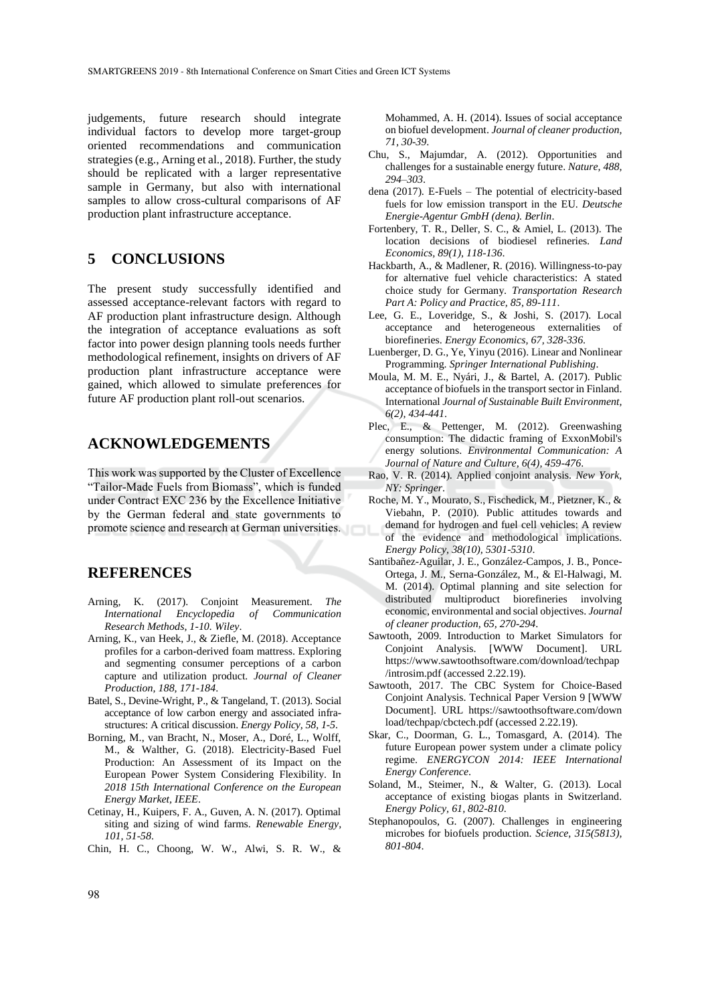judgements, future research should integrate individual factors to develop more target-group oriented recommendations and communication strategies (e.g., Arning et al., 2018). Further, the study should be replicated with a larger representative sample in Germany, but also with international samples to allow cross-cultural comparisons of AF production plant infrastructure acceptance.

## **5 CONCLUSIONS**

The present study successfully identified and assessed acceptance-relevant factors with regard to AF production plant infrastructure design. Although the integration of acceptance evaluations as soft factor into power design planning tools needs further methodological refinement, insights on drivers of AF production plant infrastructure acceptance were gained, which allowed to simulate preferences for future AF production plant roll-out scenarios.

## **ACKNOWLEDGEMENTS**

This work was supported by the Cluster of Excellence "Tailor-Made Fuels from Biomass", which is funded under Contract EXC 236 by the Excellence Initiative by the German federal and state governments to promote science and research at German universities.

## **REFERENCES**

- Arning, K. (2017). Conjoint Measurement. *The International Encyclopedia of Communication Research Methods, 1-10. Wiley*.
- Arning, K., van Heek, J., & Ziefle, M. (2018). Acceptance profiles for a carbon-derived foam mattress. Exploring and segmenting consumer perceptions of a carbon capture and utilization product. *Journal of Cleaner Production, 188, 171-184*.
- Batel, S., Devine-Wright, P., & Tangeland, T. (2013). Social acceptance of low carbon energy and associated infrastructures: A critical discussion. *Energy Policy, 58, 1-5*.
- Borning, M., van Bracht, N., Moser, A., Doré, L., Wolff, M., & Walther, G. (2018). Electricity-Based Fuel Production: An Assessment of its Impact on the European Power System Considering Flexibility. In *2018 15th International Conference on the European Energy Market, IEEE*.
- Cetinay, H., Kuipers, F. A., Guven, A. N. (2017). Optimal siting and sizing of wind farms. *Renewable Energy, 101, 51-58*.
- Chin, H. C., Choong, W. W., Alwi, S. R. W., &

Mohammed, A. H. (2014). Issues of social acceptance on biofuel development. *Journal of cleaner production, 71, 30-39*.

- Chu, S., Majumdar, A. (2012). Opportunities and challenges for a sustainable energy future. *Nature, 488, 294–303*.
- dena (2017). E-Fuels The potential of electricity-based fuels for low emission transport in the EU. *Deutsche Energie-Agentur GmbH (dena). Berlin*.
- Fortenbery, T. R., Deller, S. C., & Amiel, L. (2013). The location decisions of biodiesel refineries*. Land Economics, 89(1), 118-136*.
- Hackbarth, A., & Madlener, R. (2016). Willingness-to-pay for alternative fuel vehicle characteristics: A stated choice study for Germany. *Transportation Research Part A: Policy and Practice, 85, 89-111*.
- Lee, G. E., Loveridge, S., & Joshi, S. (2017). Local acceptance and heterogeneous externalities of biorefineries. *Energy Economics, 67, 328-336*.
- Luenberger, D. G., Ye, Yinyu (2016). Linear and Nonlinear Programming. *Springer International Publishing*.
- Moula, M. M. E., Nyári, J., & Bartel, A. (2017). Public acceptance of biofuels in the transport sector in Finland. International *Journal of Sustainable Built Environment, 6(2), 434-441*.
- Plec, E., & Pettenger, M. (2012). Greenwashing consumption: The didactic framing of ExxonMobil's energy solutions. *Environmental Communication: A Journal of Nature and Culture, 6(4), 459-476*.
- Rao, V. R. (2014). Applied conjoint analysis. *New York, NY: Springer*.
- Roche, M. Y., Mourato, S., Fischedick, M., Pietzner, K., & Viebahn, P. (2010). Public attitudes towards and demand for hydrogen and fuel cell vehicles: A review of the evidence and methodological implications. *Energy Policy, 38(10), 5301-5310*.
- Santibañez-Aguilar, J. E., González-Campos, J. B., Ponce-Ortega, J. M., Serna-González, M., & El-Halwagi, M. M. (2014). Optimal planning and site selection for distributed multiproduct biorefineries involving economic, environmental and social objectives. *Journal of cleaner production, 65, 270-294*.
- Sawtooth, 2009. Introduction to Market Simulators for Conjoint Analysis. [WWW Document]. URL https://www.sawtoothsoftware.com/download/techpap /introsim.pdf (accessed 2.22.19).
- Sawtooth, 2017. The CBC System for Choice-Based Conjoint Analysis. Technical Paper Version 9 [WWW Document]. URL https://sawtoothsoftware.com/down load/techpap/cbctech.pdf (accessed 2.22.19).
- Skar, C., Doorman, G. L., Tomasgard, A. (2014). The future European power system under a climate policy regime. *ENERGYCON 2014: IEEE International Energy Conference*.
- Soland, M., Steimer, N., & Walter, G. (2013). Local acceptance of existing biogas plants in Switzerland. *Energy Policy, 61, 802-810*.
- Stephanopoulos, G. (2007). Challenges in engineering microbes for biofuels production. *Science, 315(5813), 801-804*.